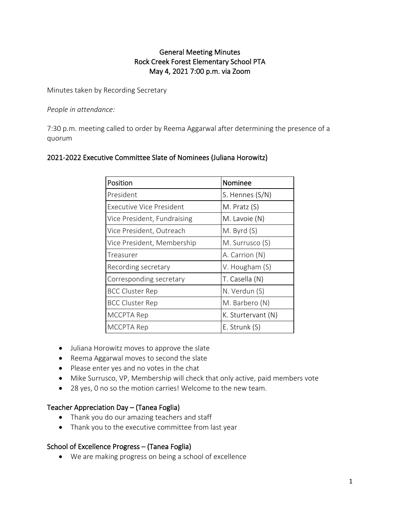## General Meeting Minutes Rock Creek Forest Elementary School PTA May 4, 2021 7:00 p.m. via Zoom

Minutes taken by Recording Secretary

#### *People in attendance:*

7:30 p.m. meeting called to order by Reema Aggarwal after determining the presence of a quorum

## 2021-2022 Executive Committee Slate of Nominees (Juliana Horowitz)

| Position                    | <b>Nominee</b>     |
|-----------------------------|--------------------|
| President                   | S. Hennes (S/N)    |
| Executive Vice President    | M. Pratz (S)       |
| Vice President, Fundraising | M. Lavoie (N)      |
| Vice President, Outreach    | $M.$ Byrd $(S)$    |
| Vice President, Membership  | M. Surrusco (S)    |
| Treasurer                   | A. Carrion (N)     |
| Recording secretary         | V. Hougham (S)     |
| Corresponding secretary     | T. Casella (N)     |
| <b>BCC Cluster Rep</b>      | N. Verdun (S)      |
| <b>BCC Cluster Rep</b>      | M. Barbero (N)     |
| <b>MCCPTA Rep</b>           | K. Sturtervant (N) |
| MCCPTA Rep                  | E. Strunk (S)      |

- Juliana Horowitz moves to approve the slate
- Reema Aggarwal moves to second the slate
- Please enter yes and no votes in the chat
- Mike Surrusco, VP, Membership will check that only active, paid members vote
- 28 yes, 0 no so the motion carries! Welcome to the new team.

## Teacher Appreciation Day – (Tanea Foglia)

- Thank you do our amazing teachers and staff
- Thank you to the executive committee from last year

## School of Excellence Progress – (Tanea Foglia)

• We are making progress on being a school of excellence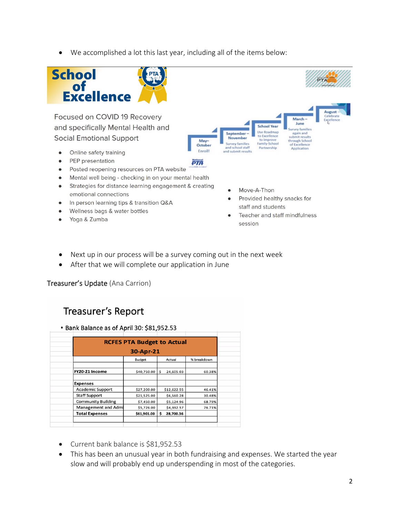We accomplished a lot this last year, including all of the items below:



- Next up in our process will be a survey coming out in the next week
- After that we will complete our application in June

Treasurer's Update (Ana Carrion)

## Treasurer's Report

• Bank Balance as of April 30: \$81,952.53

| 30-Apr-21                 |             |                 |        |
|---------------------------|-------------|-----------------|--------|
|                           |             |                 |        |
|                           |             |                 |        |
| FY20-21 Income            | \$40,750.00 | \$<br>24,605.03 | 60.38% |
|                           |             |                 |        |
| <b>Expenses</b>           |             |                 |        |
| <b>Academic Support</b>   | \$27,200.00 | \$12,622.55     | 46.41% |
| <b>Staff Support</b>      | \$21,525.00 | \$6,560.28      | 30.48% |
| <b>Community Building</b> | \$7,450.00  | \$5,124.96      | 68.79% |
| Management and Admi       | \$5,726.00  | \$4,392.57      | 76.71% |
| <b>Total Expenses</b>     | \$61,901.00 | \$<br>28,700.36 |        |

- Current bank balance is \$81,952.53
- This has been an unusual year in both fundraising and expenses. We started the year slow and will probably end up underspending in most of the categories.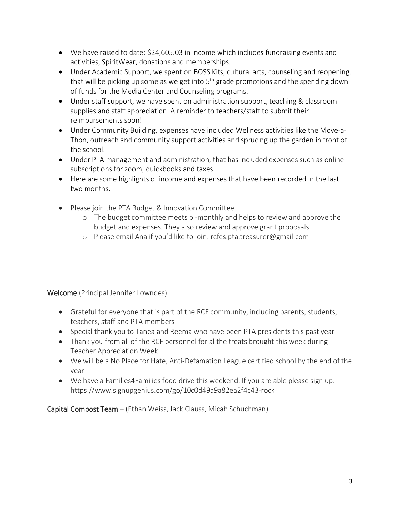- We have raised to date: \$24,605.03 in income which includes fundraising events and activities, SpiritWear, donations and memberships.
- Under Academic Support, we spent on BOSS Kits, cultural arts, counseling and reopening. that will be picking up some as we get into  $5<sup>th</sup>$  grade promotions and the spending down of funds for the Media Center and Counseling programs.
- Under staff support, we have spent on administration support, teaching & classroom supplies and staff appreciation. A reminder to teachers/staff to submit their reimbursements soon!
- Under Community Building, expenses have included Wellness activities like the Move-a-Thon, outreach and community support activities and sprucing up the garden in front of the school.
- Under PTA management and administration, that has included expenses such as online subscriptions for zoom, quickbooks and taxes.
- Here are some highlights of income and expenses that have been recorded in the last two months.
- Please join the PTA Budget & Innovation Committee
	- o The budget committee meets bi-monthly and helps to review and approve the budget and expenses. They also review and approve grant proposals.
	- o Please email Ana if you'd like to join: rcfes.pta.treasurer@gmail.com

Welcome (Principal Jennifer Lowndes)

- Grateful for everyone that is part of the RCF community, including parents, students, teachers, staff and PTA members
- Special thank you to Tanea and Reema who have been PTA presidents this past year
- Thank you from all of the RCF personnel for al the treats brought this week during Teacher Appreciation Week.
- We will be a No Place for Hate, Anti-Defamation League certified school by the end of the year
- We have a Families4Families food drive this weekend. If you are able please sign up: https://www.signupgenius.com/go/10c0d49a9a82ea2f4c43-rock

Capital Compost Team – (Ethan Weiss, Jack Clauss, Micah Schuchman)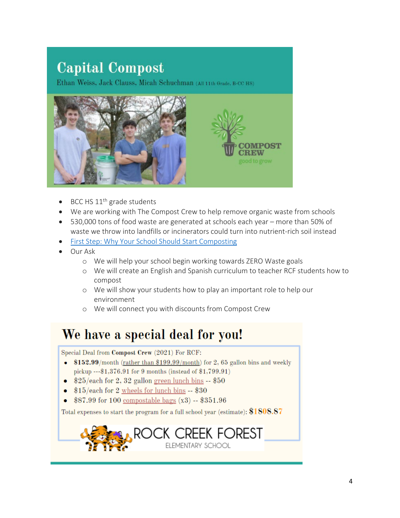# **Capital Compost**

Ethan Weiss, Jack Clauss, Micah Schuchman (All 11th Grade, B-CC HS)



- BCC HS 11<sup>th</sup> grade students
- We are working with The Compost Crew to help remove organic waste from schools
- 530,000 tons of food waste are generated at schools each year more than 50% of waste we throw into landfills or incinerators could turn into nutrient-rich soil instead
- [First Step: Why Your School Should Start Composting](https://www.youtube.com/watch?v=XnoS6pJGhX8)
- Our Ask
	- o We will help your school begin working towards ZERO Waste goals
	- o We will create an English and Spanish curriculum to teacher RCF students how to compost
	- o We will show your students how to play an important role to help our environment

ROCK CREEK FOREST

o We will connect you with discounts from Compost Crew

## We have a special deal for you!

Special Deal from Compost Crew (2021) For RCF:

- \$152.99/month (rather than \$199.99/month) for 2, 65 gallon bins and weekly pickup --- \$1,376.91 for 9 months (instead of \$1,799.91)
- $$25/each$  for 2, 32 gallon green lunch bins  $-$  \$50
- $$15/each$  for 2 wheels for lunch bins -- \$30
- \$87.99 for 100 compostable bags  $(x3) $351.96$

Total expenses to start the program for a full school year (estimate):  $\$1808.87$